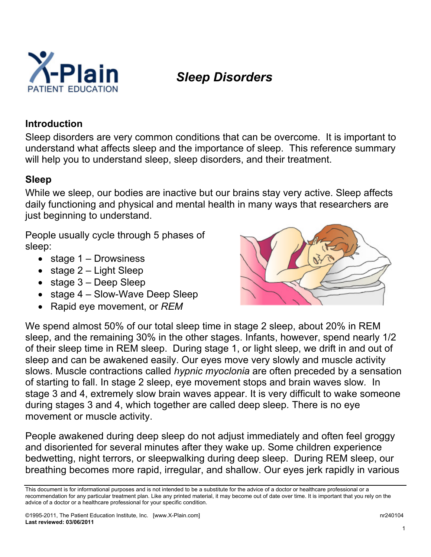

# *Sleep Disorders*

#### **Introduction**

Sleep disorders are very common conditions that can be overcome. It is important to understand what affects sleep and the importance of sleep. This reference summary will help you to understand sleep, sleep disorders, and their treatment.

#### **Sleep**

While we sleep, our bodies are inactive but our brains stay very active. Sleep affects daily functioning and physical and mental health in many ways that researchers are just beginning to understand.

People usually cycle through 5 phases of sleep:

- stage 1 Drowsiness
- stage  $2 -$  Light Sleep
- stage 3 Deep Sleep
- stage 4 Slow-Wave Deep Sleep
- Rapid eye movement, or *REM*



We spend almost 50% of our total sleep time in stage 2 sleep, about 20% in REM sleep, and the remaining 30% in the other stages. Infants, however, spend nearly 1/2 of their sleep time in REM sleep. During stage 1, or light sleep, we drift in and out of sleep and can be awakened easily. Our eyes move very slowly and muscle activity slows. Muscle contractions called *hypnic myoclonia* are often preceded by a sensation of starting to fall. In stage 2 sleep, eye movement stops and brain waves slow*.* In stage 3 and 4, extremely slow brain waves appear. It is very difficult to wake someone during stages 3 and 4, which together are called deep sleep*.* There is no eye movement or muscle activity.

People awakened during deep sleep do not adjust immediately and often feel groggy and disoriented for several minutes after they wake up. Some children experience bedwetting, night terrors, or sleepwalking during deep sleep. During REM sleep, our breathing becomes more rapid, irregular, and shallow. Our eyes jerk rapidly in various

This document is for informational purposes and is not intended to be a substitute for the advice of a doctor or healthcare professional or a recommendation for any particular treatment plan. Like any printed material, it may become out of date over time. It is important that you rely on the advice of a doctor or a healthcare professional for your specific condition.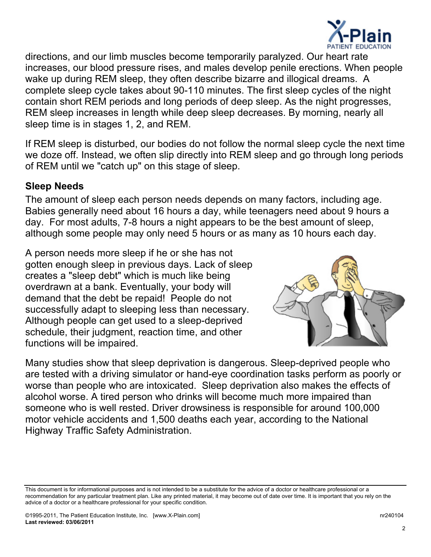

directions, and our limb muscles become temporarily paralyzed. Our heart rate increases, our blood pressure rises, and males develop penile erections. When people wake up during REM sleep, they often describe bizarre and illogical dreams. A complete sleep cycle takes about 90-110 minutes. The first sleep cycles of the night contain short REM periods and long periods of deep sleep. As the night progresses, REM sleep increases in length while deep sleep decreases. By morning, nearly all sleep time is in stages 1, 2, and REM.

If REM sleep is disturbed, our bodies do not follow the normal sleep cycle the next time we doze off. Instead, we often slip directly into REM sleep and go through long periods of REM until we "catch up" on this stage of sleep.

#### **Sleep Needs**

The amount of sleep each person needs depends on many factors, including age. Babies generally need about 16 hours a day, while teenagers need about 9 hours a day. For most adults, 7-8 hours a night appears to be the best amount of sleep, although some people may only need 5 hours or as many as 10 hours each day.

A person needs more sleep if he or she has not gotten enough sleep in previous days. Lack of sleep creates a "sleep debt" which is much like being overdrawn at a bank. Eventually, your body will demand that the debt be repaid! People do not successfully adapt to sleeping less than necessary. Although people can get used to a sleep-deprived schedule, their judgment, reaction time, and other functions will be impaired.



Many studies show that sleep deprivation is dangerous. Sleep-deprived people who are tested with a driving simulator or hand-eye coordination tasks perform as poorly or worse than people who are intoxicated. Sleep deprivation also makes the effects of alcohol worse. A tired person who drinks will become much more impaired than someone who is well rested. Driver drowsiness is responsible for around 100,000 motor vehicle accidents and 1,500 deaths each year, according to the National Highway Traffic Safety Administration.

This document is for informational purposes and is not intended to be a substitute for the advice of a doctor or healthcare professional or a recommendation for any particular treatment plan. Like any printed material, it may become out of date over time. It is important that you rely on the advice of a doctor or a healthcare professional for your specific condition.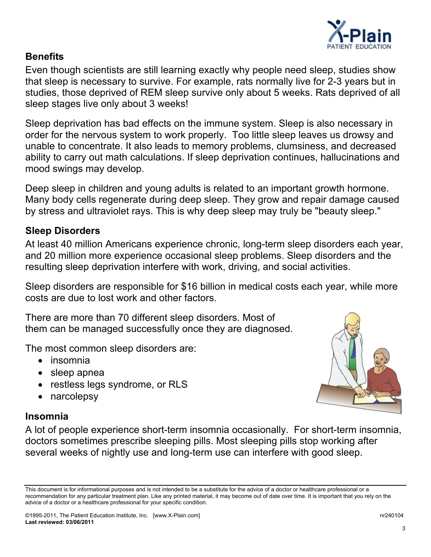

#### **Benefits**

Even though scientists are still learning exactly why people need sleep, studies show that sleep is necessary to survive. For example, rats normally live for 2-3 years but in studies, those deprived of REM sleep survive only about 5 weeks. Rats deprived of all sleep stages live only about 3 weeks!

Sleep deprivation has bad effects on the immune system. Sleep is also necessary in order for the nervous system to work properly. Too little sleep leaves us drowsy and unable to concentrate. It also leads to memory problems, clumsiness, and decreased ability to carry out math calculations. If sleep deprivation continues, hallucinations and mood swings may develop.

Deep sleep in children and young adults is related to an important growth hormone. Many body cells regenerate during deep sleep. They grow and repair damage caused by stress and ultraviolet rays. This is why deep sleep may truly be "beauty sleep."

#### **Sleep Disorders**

At least 40 million Americans experience chronic, long-term sleep disorders each year, and 20 million more experience occasional sleep problems. Sleep disorders and the resulting sleep deprivation interfere with work, driving, and social activities.

Sleep disorders are responsible for \$16 billion in medical costs each year, while more costs are due to lost work and other factors.

There are more than 70 different sleep disorders. Most of them can be managed successfully once they are diagnosed.

The most common sleep disorders are:

- insomnia
- sleep apnea
- restless legs syndrome, or RLS
- narcolepsy

## **Insomnia**

A lot of people experience short-term insomnia occasionally. For short-term insomnia, doctors sometimes prescribe sleeping pills. Most sleeping pills stop working after several weeks of nightly use and long-term use can interfere with good sleep.



This document is for informational purposes and is not intended to be a substitute for the advice of a doctor or healthcare professional or a recommendation for any particular treatment plan. Like any printed material, it may become out of date over time. It is important that you rely on the advice of a doctor or a healthcare professional for your specific condition.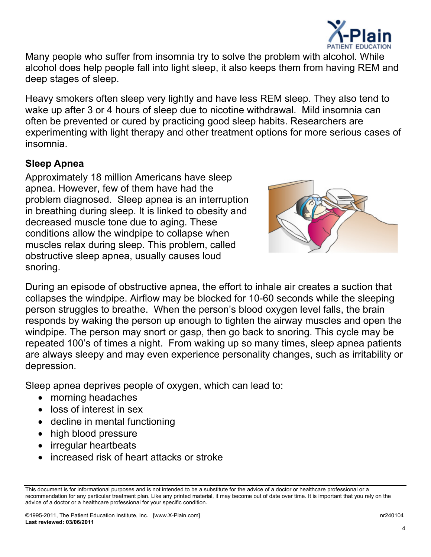

Many people who suffer from insomnia try to solve the problem with alcohol. While alcohol does help people fall into light sleep, it also keeps them from having REM and deep stages of sleep.

Heavy smokers often sleep very lightly and have less REM sleep. They also tend to wake up after 3 or 4 hours of sleep due to nicotine withdrawal. Mild insomnia can often be prevented or cured by practicing good sleep habits. Researchers are experimenting with light therapy and other treatment options for more serious cases of insomnia.

## **Sleep Apnea**

Approximately 18 million Americans have sleep apnea. However, few of them have had the problem diagnosed. Sleep apnea is an interru ption in breathing during sleep. It is linked to obesity an d decreased muscle tone due to aging. These conditions allow the windpipe to collapse when muscles relax during sleep. This problem, called obstructive sleep apnea, usually causes loud snoring.



During an episode of obstructive apnea, the effort to inhale air creates a suction that collapses the windpipe. Airflow may be blocked for 10-60 seconds while the sleeping person struggles to breathe. When the person's blood oxygen level falls, the brain responds by waking the person up enough to tighten the airway muscles and open the windpipe. The person may snort or gasp, then go back to snoring. This cycle may be repeated 100's of times a night. From waking up so many times, sleep apnea patients are always sleepy and may even experience personality changes, such as irritability or depression.

Sleep apnea deprives people of oxygen, which can lead to:

- morning headaches
- loss of interest in sex
- decline in mental functioning
- high blood pressure
- irregular heartbeats
- increased risk of heart attacks or stroke

This document is for informational purposes and is not intended to be a substitute for the advice of a doctor or healthcare professional or a recommendation for any particular treatment plan. Like any printed material, it may become out of date over time. It is important that you rely on the advice of a doctor or a healthcare professional for your specific condition.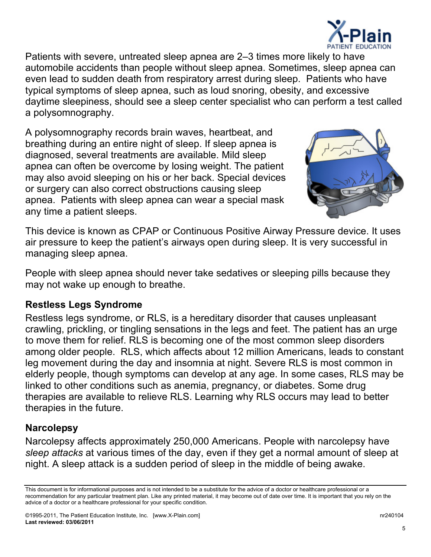

Patients with severe, untreated sleep apnea are 2–3 times more likely to have automobile accidents than people without sleep apnea. Sometimes, sleep apnea can even lead to sudden death from respiratory arrest during sleep. Patients who have typical symptoms of sleep apnea, such as loud snoring, obesity, and excessive daytime sleepiness, should see a sleep center specialist who can perform a test called a polysomnography.

A polysomnography records brain waves, heartbeat, and breathing during an entire night of sleep. If sleep apnea is diagnosed, several treatments are available. Mild sleep apnea can often be overcome by losing weight. The patient may also avoid sleeping on his or her back. Special devices or surgery can also correct obstructions causing sleep apnea. Patients with sleep apnea can wear a special mask any time a patient sleeps.



This device is known as CPAP or Continuous Positive Airway Pressure device. It uses air pressure to keep the patient's airways open during sleep. It is very successful in managing sleep apnea.

People with sleep apnea should never take sedatives or sleeping pills because they may not wake up enough to breathe.

## **Restless Legs Syndrome**

Restless legs syndrome, or RLS, is a hereditary disorder that causes unpleasant crawling, prickling, or tingling sensations in the legs and feet. The patient has an urge to move them for relief. RLS is becoming one of the most common sleep disorders among older people. RLS, which affects about 12 million Americans, leads to constant leg movement during the day and insomnia at night. Severe RLS is most common in elderly people, though symptoms can develop at any age. In some cases, RLS may be linked to other conditions such as anemia, pregnancy, or diabetes. Some drug therapies are available to relieve RLS. Learning why RLS occurs may lead to better therapies in the future.

## **Narcolepsy**

Narcolepsy affects approximately 250,000 Americans. People with narcolepsy have *sleep attacks* at various times of the day, even if they get a normal amount of sleep at night. A sleep attack is a sudden period of sleep in the middle of being awake.

This document is for informational purposes and is not intended to be a substitute for the advice of a doctor or healthcare professional or a recommendation for any particular treatment plan. Like any printed material, it may become out of date over time. It is important that you rely on the advice of a doctor or a healthcare professional for your specific condition.